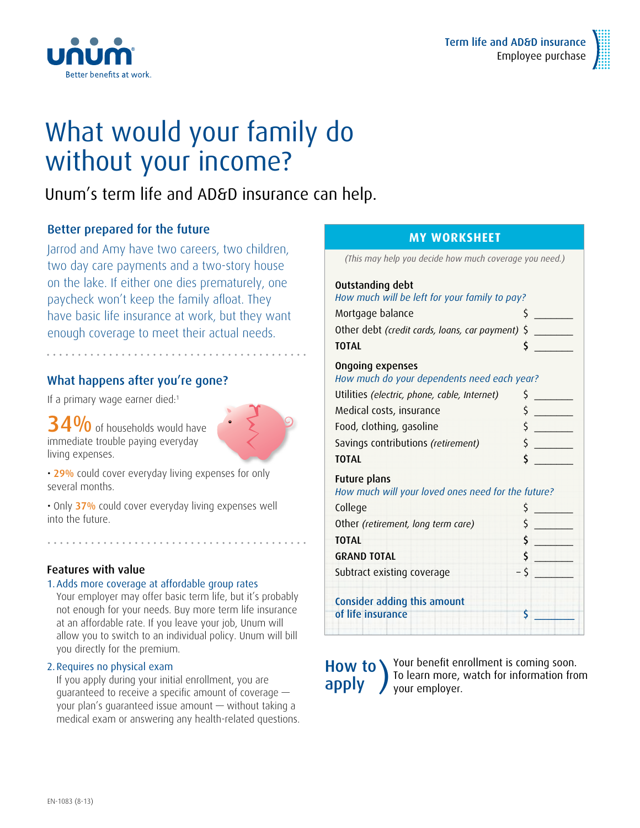

## What would your family do without your income?

### Unum's term life and AD&D insurance can help.

### Better prepared for the future

Better benefits at work.

Jarrod and Amy have two careers, two children, two day care payments and a two-story house on the lake. If either one dies prematurely, one paycheck won't keep the family afloat. They have basic life insurance at work, but they want enough coverage to meet their actual needs.

### What happens after you're gone?

If a primary wage earner died:<sup>1</sup>

34% of households would have immediate trouble paying everyday living expenses.



• 29% could cover everyday living expenses for only several months.

• Only 37% could cover everyday living expenses well into the future.

#### Features with value

#### 1.Adds more coverage at affordable group rates

Your employer may offer basic term life, but it's probably not enough for your needs. Buy more term life insurance at an affordable rate. If you leave your job, Unum will allow you to switch to an individual policy. Unum will bill you directly for the premium.

#### 2.Requires no physical exam

If you apply during your initial enrollment, you are guaranteed to receive a specific amount of coverage your plan's guaranteed issue amount — without taking a medical exam or answering any health-related questions.

#### **MY worksheet**

*(This may help you decide how much coverage you need.)*

| Outstanding debt<br>How much will be left for your family to pay?  |    |  |  |
|--------------------------------------------------------------------|----|--|--|
| Mortgage balance                                                   | \$ |  |  |
| \$<br>Other debt (credit cards, loans, car payment)                |    |  |  |
| <b>TOTAL</b>                                                       | \$ |  |  |
| Ongoing expenses<br>How much do your dependents need each year?    |    |  |  |
| Utilities (electric, phone, cable, Internet)                       | \$ |  |  |
| Medical costs, insurance                                           | \$ |  |  |
| Food, clothing, gasoline                                           | \$ |  |  |
| Savings contributions (retirement)                                 | \$ |  |  |
| <b>TOTAL</b>                                                       | \$ |  |  |
| Future plans<br>How much will your loved ones need for the future? |    |  |  |
| College                                                            | \$ |  |  |
| Other (retirement, long term care)                                 | \$ |  |  |
| <b>TOTAL</b>                                                       | \$ |  |  |
| <b>GRAND TOTAL</b>                                                 | \$ |  |  |
| Subtract existing coverage                                         | \$ |  |  |
| Consider adding this amount<br>of life insurance                   | S  |  |  |
|                                                                    |    |  |  |

How to **)**<br>apply

Your benefit enrollment is coming soon. To learn more, watch for information from your employer.